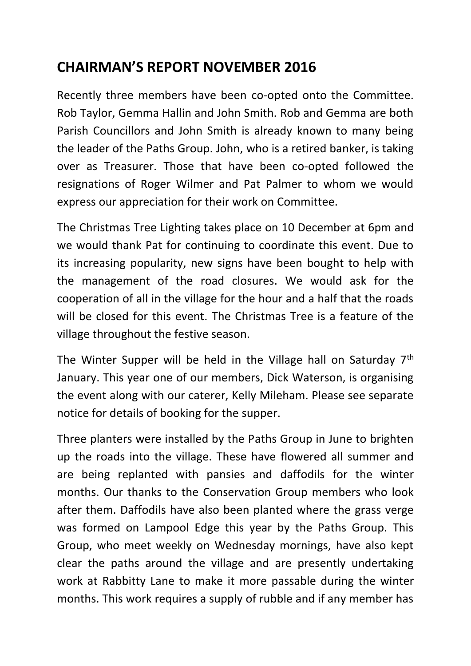## **CHAIRMAN'S REPORT NOVEMBER 2016**

Recently three members have been co-opted onto the Committee. Rob Taylor, Gemma Hallin and John Smith. Rob and Gemma are both Parish Councillors and John Smith is already known to many being the leader of the Paths Group. John, who is a retired banker, is taking over as Treasurer. Those that have been co-opted followed the resignations of Roger Wilmer and Pat Palmer to whom we would express our appreciation for their work on Committee.

The Christmas Tree Lighting takes place on 10 December at 6pm and we would thank Pat for continuing to coordinate this event. Due to its increasing popularity, new signs have been bought to help with the management of the road closures. We would ask for the cooperation of all in the village for the hour and a half that the roads will be closed for this event. The Christmas Tree is a feature of the village throughout the festive season.

The Winter Supper will be held in the Village hall on Saturday 7<sup>th</sup> January. This year one of our members, Dick Waterson, is organising the event along with our caterer, Kelly Mileham. Please see separate notice for details of booking for the supper.

Three planters were installed by the Paths Group in June to brighten up the roads into the village. These have flowered all summer and are being replanted with pansies and daffodils for the winter months. Our thanks to the Conservation Group members who look after them. Daffodils have also been planted where the grass verge was formed on Lampool Edge this year by the Paths Group. This Group, who meet weekly on Wednesday mornings, have also kept clear the paths around the village and are presently undertaking work at Rabbitty Lane to make it more passable during the winter months. This work requires a supply of rubble and if any member has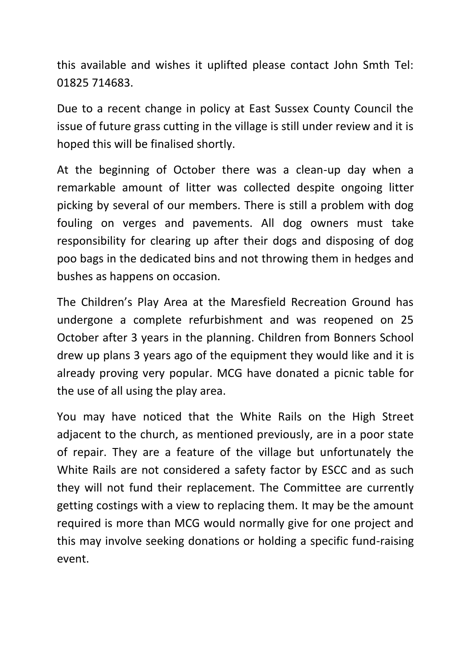this available and wishes it uplifted please contact John Smth Tel: 01825 714683.

Due to a recent change in policy at East Sussex County Council the issue of future grass cutting in the village is still under review and it is hoped this will be finalised shortly.

At the beginning of October there was a clean-up day when a remarkable amount of litter was collected despite ongoing litter picking by several of our members. There is still a problem with dog fouling on verges and pavements. All dog owners must take responsibility for clearing up after their dogs and disposing of dog poo bags in the dedicated bins and not throwing them in hedges and bushes as happens on occasion.

The Children's Play Area at the Maresfield Recreation Ground has undergone a complete refurbishment and was reopened on 25 October after 3 years in the planning. Children from Bonners School drew up plans 3 years ago of the equipment they would like and it is already proving very popular. MCG have donated a picnic table for the use of all using the play area.

You may have noticed that the White Rails on the High Street adjacent to the church, as mentioned previously, are in a poor state of repair. They are a feature of the village but unfortunately the White Rails are not considered a safety factor by ESCC and as such they will not fund their replacement. The Committee are currently getting costings with a view to replacing them. It may be the amount required is more than MCG would normally give for one project and this may involve seeking donations or holding a specific fund-raising event.